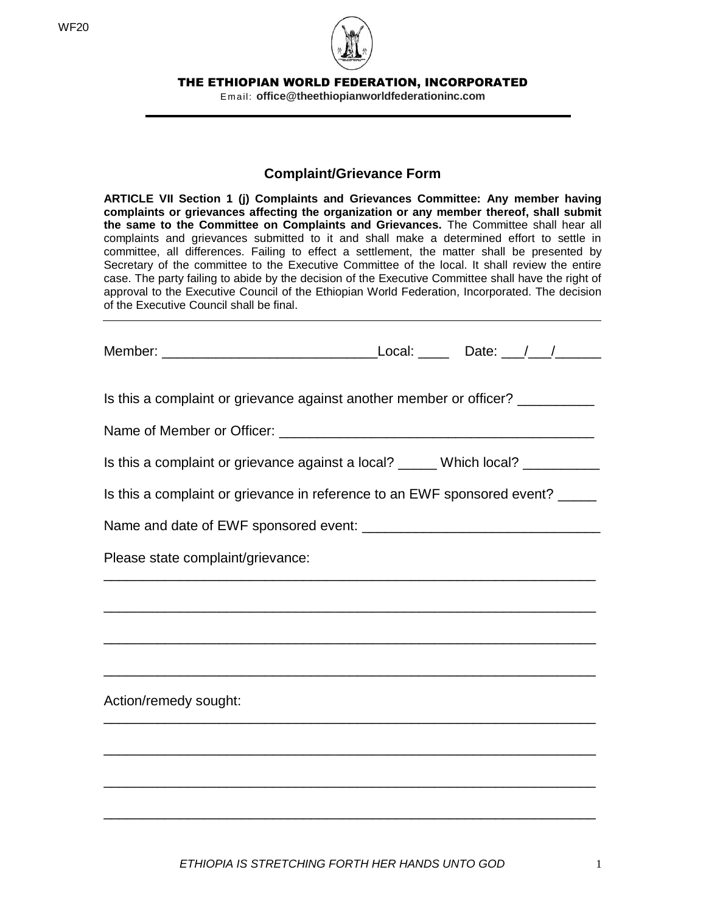WF20



THE ETHIOPIAN WORLD FEDERATION, INCORPORATED

Em ail: **office@theethiopianworldfederationinc.com**

## **Complaint/Grievance Form**

**ARTICLE VII Section 1 (j) Complaints and Grievances Committee: Any member having complaints or grievances affecting the organization or any member thereof, shall submit the same to the Committee on Complaints and Grievances.** The Committee shall hear all complaints and grievances submitted to it and shall make a determined effort to settle in committee, all differences. Failing to effect a settlement, the matter shall be presented by Secretary of the committee to the Executive Committee of the local. It shall review the entire case. The party failing to abide by the decision of the Executive Committee shall have the right of approval to the Executive Council of the Ethiopian World Federation, Incorporated. The decision of the Executive Council shall be final.

| Is this a complaint or grievance against another member or officer? __________  |  |  |  |
|---------------------------------------------------------------------------------|--|--|--|
|                                                                                 |  |  |  |
| Is this a complaint or grievance against a local? _____ Which local? __________ |  |  |  |
| Is this a complaint or grievance in reference to an EWF sponsored event? _____  |  |  |  |
|                                                                                 |  |  |  |
| Please state complaint/grievance:                                               |  |  |  |
|                                                                                 |  |  |  |
| <u> 1989 - Johann Stoff, amerikansk politiker (d. 1989)</u>                     |  |  |  |
|                                                                                 |  |  |  |
| Action/remedy sought:                                                           |  |  |  |
| <u> 1989 - Johann Stoff, amerikansk politiker (d. 1989)</u>                     |  |  |  |
|                                                                                 |  |  |  |
| <u> 1990 - Johann Stoff, amerikansk politiker (d. 1990)</u>                     |  |  |  |
|                                                                                 |  |  |  |